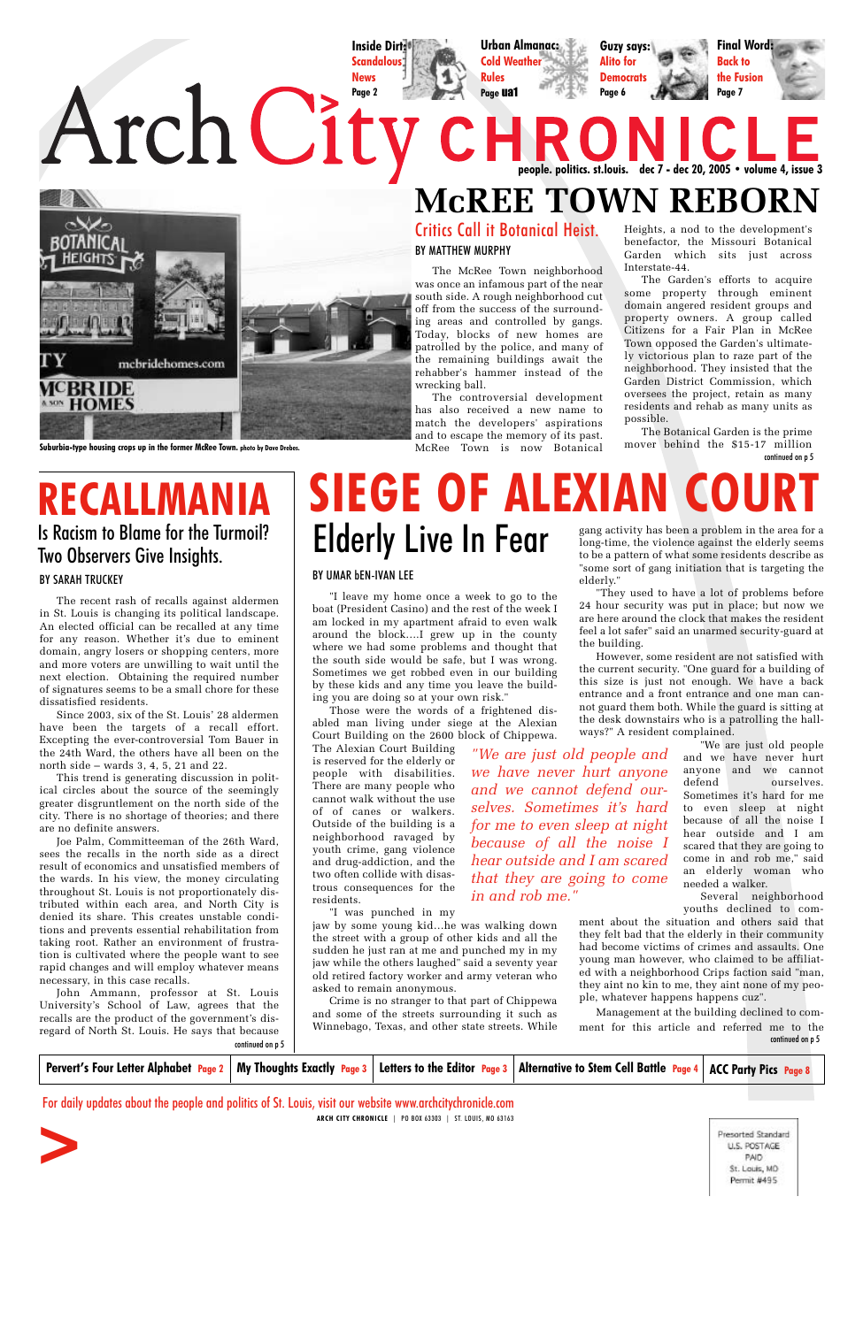## **McREE TOWN REBORN** Critics Call it Botanical Heist.

#### BY UMAR bEN-IVAN LEE

"I leave my home once a week to go to the boat (President Casino) and the rest of the week I am locked in my apartment afraid to even walk around the block….I grew up in the county where we had some problems and thought that the south side would be safe, but I was wrong. Sometimes we get robbed even in our building by these kids and any time you leave the building you are doing so at your own risk."

Those were the words of a frightened disabled man living under siege at the Alexian Court Building on the 2600 block of Chippewa.

The Alexian Court Building is reserved for the elderly or people with disabilities. There are many people who cannot walk without the use of of canes or walkers. Outside of the building is a neighborhood ravaged by youth crime, gang violence and drug-addiction, and the two often collide with disastrous consequences for the residents.

"I was punched in my

jaw by some young kid…he was walking down the street with a group of other kids and all the sudden he just ran at me and punched my in my jaw while the others laughed" said a seventy year old retired factory worker and army veteran who asked to remain anonymous. Crime is no stranger to that part of Chippewa and some of the streets surrounding it such as Winnebago, Texas, and other state streets. While

BY MATTHEW MURPHY

The McRee Town neighborhood was once an infamous part of the near south side. A rough neighborhood cut off from the success of the surrounding areas and controlled by gangs. Today, blocks of new homes are patrolled by the police, and many of the remaining buildings await the rehabber's hammer instead of the wrecking ball.

# **RECALLMAN** Is Racism to Blame for the Turmoil?

The controversial development has also received a new name to match the developers' aspirations and to escape the memory of its past. McRee Town is now Botanical

| Pervert's Four Letter Alphabet Page 2   My Thoughts Exactly Page 3                                                                                                            |  |  | Letters to the Editor $\frac{Page 3}$ Alternative to Stem Cell Battle $\frac{Page 4}$ ACC Party Pics $\frac{Page 8}{}$ |                                                                             |
|-------------------------------------------------------------------------------------------------------------------------------------------------------------------------------|--|--|------------------------------------------------------------------------------------------------------------------------|-----------------------------------------------------------------------------|
| For daily updates about the people and politics of St. Louis, visit our website www.archcitychronicle.com<br>PO BOX 63303   ST. LOUIS, MO 63163<br><b>ARCH CITY CHRONICLE</b> |  |  |                                                                                                                        |                                                                             |
|                                                                                                                                                                               |  |  |                                                                                                                        | Presorted Standard<br>U.S. POSTAGE<br>PAID:<br>St. Louis, MD<br>Permit #495 |

#### BY SARAH TRUCKEY

The recent rash of recalls against aldermen in St. Louis is changing its political landscape. An elected official can be recalled at any time for any reason. Whether it's due to eminent domain, angry losers or shopping centers, more and more voters are unwilling to wait until the next election. Obtaining the required number of signatures seems to be a small chore for these dissatisfied residents.

Since 2003, six of the St. Louis' 28 aldermen have been the targets of a recall effort. Excepting the ever-controversial Tom Bauer in the 24th Ward, the others have all been on the north side – wards 3, 4, 5, 21 and 22.

This trend is generating discussion in political circles about the source of the seemingly greater disgruntlement on the north side of the city. There is no shortage of theories; and there are no definite answers.

# **SIEGE OF ALEXIAN CO** gang activity has been a problem in the area for a Elderly Live In Fear

Joe Palm, Committeeman of the 26th Ward, sees the recalls in the north side as a direct result of economics and unsatisfied members of the wards. In his view, the money circulating throughout St. Louis is not proportionately distributed within each area, and North City is denied its share. This creates unstable conditions and prevents essential rehabilitation from taking root. Rather an environment of frustration is cultivated where the people want to see rapid changes and will employ whatever means necessary, in this case recalls. John Ammann, professor at St. Louis University's School of Law, agrees that the recalls are the product of the government's disregard of North St. Louis. He says that because

# Two Observers Give Insights.

**Inside Dirt: Scandalous News**



**Urban Almanac: Cold Weather Rules Page** ua1



**people. politics. st.louis. dec 7 - dec 20, 2005 • volume 4, issue 3**

Heights, a nod to the development's benefactor, the Missouri Botanical Garden which sits just across Interstate-44.

continued on p 5 The Botanical Garden is the prime mover behind the \$15-17 million

The Garden's efforts to acquire some property through eminent domain angered resident groups and property owners. A group called Citizens for a Fair Plan in McRee Town opposed the Garden's ultimately victorious plan to raze part of the neighborhood. They insisted that the Garden District Commission, which oversees the project, retain as many residents and rehab as many units as possible.

long-time, the violence against the elderly seems to be a pattern of what some residents describe as "some sort of gang initiation that is targeting the elderly."

"They used to have a lot of problems before 24 hour security was put in place; but now we are here around the clock that makes the resident feel a lot safer" said an unarmed security-guard at the building.

continued on p 5 continued on p 5 Management at the building declined to comment for this article and referred me to the

However, some resident are not satisfied with the current security. "One guard for a building of this size is just not enough. We have a back entrance and a front entrance and one man cannot guard them both. While the guard is sitting at the desk downstairs who is a patrolling the hallways?" A resident complained.

> "We are just old people and we have never hurt anyone and we cannot defend ourselves. Sometimes it's hard for me to even sleep at night because of all the noise I hear outside and I am scared that they are going to come in and rob me," said an elderly woman who needed a walker.

> Several neighborhood youths declined to com-

ment about the situation and others said that they felt bad that the elderly in their community had become victims of crimes and assaults. One young man however, who claimed to be affiliated with a neighborhood Crips faction said "man, they aint no kin to me, they aint none of my people, whatever happens happens cuz".

*"We are just old people and we have never hurt anyone and we cannot defend ourselves. Sometimes it's hard for me to even sleep at night because of all the noise I hear outside and I am scared that they are going to come*

*in and rob me."*

**Suburbia-type housing crops up in the former McRee Town. photo by Dave Drebes.**

**Guzy says: Alito for Democrats Page 6**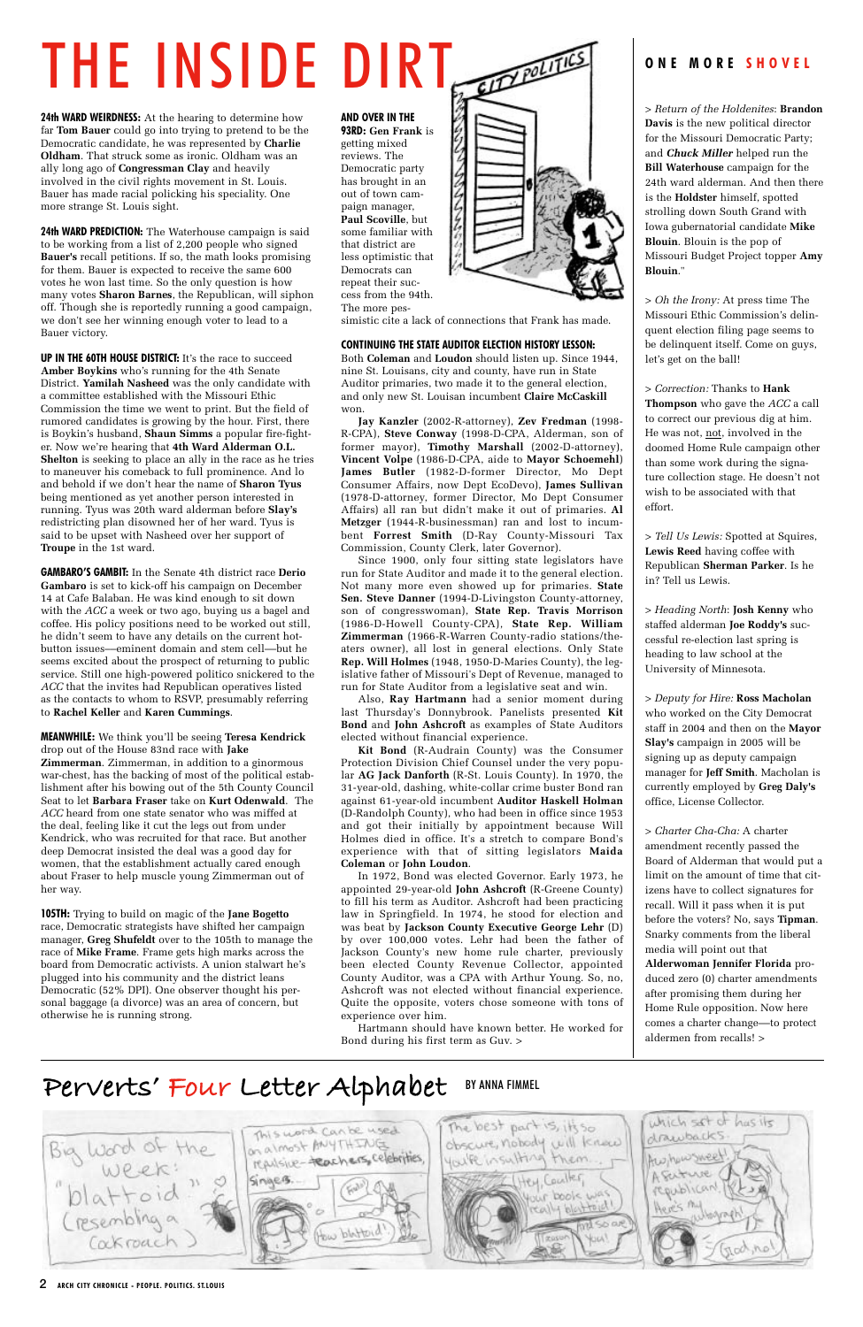2 **ARCH CITY CHRONICLE - PEOPLE. POLITICS. ST.LOUIS**

**24th WARD WEIRDNESS:** At the hearing to determine how far **Tom Bauer** could go into trying to pretend to be the Democratic candidate, he was represented by **Charlie Oldham**. That struck some as ironic. Oldham was an ally long ago of **Congressman Clay** and heavily involved in the civil rights movement in St. Louis. Bauer has made racial policking his speciality. One more strange St. Louis sight.

**24th WARD PREDICTION:** The Waterhouse campaign is said to be working from a list of 2,200 people who signed **Bauer's** recall petitions. If so, the math looks promising for them. Bauer is expected to receive the same 600 votes he won last time. So the only question is how many votes **Sharon Barnes**, the Republican, will siphon off. Though she is reportedly running a good campaign, we don't see her winning enough voter to lead to a Bauer victory.

**UP IN THE 60TH HOUSE DISTRICT:** It's the race to succeed **Amber Boykins** who's running for the 4th Senate District. **Yamilah Nasheed** was the only candidate with a committee established with the Missouri Ethic Commission the time we went to print. But the field of rumored candidates is growing by the hour. First, there is Boykin's husband, **Shaun Simms** a popular fire-fighter. Now we're hearing that **4th Ward Alderman O.L. Shelton** is seeking to place an ally in the race as he tries to maneuver his comeback to full prominence. And lo and behold if we don't hear the name of **Sharon Tyus** being mentioned as yet another person interested in running. Tyus was 20th ward alderman before **Slay's** redistricting plan disowned her of her ward. Tyus is said to be upset with Nasheed over her support of **Troupe** in the 1st ward.

**GAMBARO'S GAMBIT:** In the Senate 4th district race **Derio Gambaro** is set to kick-off his campaign on December 14 at Cafe Balaban. He was kind enough to sit down with the *ACC* a week or two ago, buying us a bagel and coffee. His policy positions need to be worked out still, he didn't seem to have any details on the current hotbutton issues––eminent domain and stem cell––but he seems excited about the prospect of returning to public service. Still one high-powered politico snickered to the *ACC* that the invites had Republican operatives listed as the contacts to whom to RSVP, presumably referring to **Rachel Keller** and **Karen Cummings**.

**MEANWHILE:** We think you'll be seeing **Teresa Kendrick** drop out of the House 83nd race with **Jake Zimmerman**. Zimmerman, in addition to a ginormous war-chest, has the backing of most of the political establishment after his bowing out of the 5th County Council Seat to let **Barbara Fraser** take on **Kurt Odenwald**. The *ACC* heard from one state senator who was miffed at the deal, feeling like it cut the legs out from under Kendrick, who was recruited for that race. But another deep Democrat insisted the deal was a good day for women, that the establishment actually cared enough about Fraser to help muscle young Zimmerman out of her way.

**105TH:** Trying to build on magic of the **Jane Bogetto** race, Democratic strategists have shifted her campaign manager, **Greg Shufeldt** over to the 105th to manage the race of **Mike Frame**. Frame gets high marks across the board from Democratic activists. A union stalwart he's plugged into his community and the district leans Democratic (52% DPI). One observer thought his personal baggage (a divorce) was an area of concern, but otherwise he is running strong.

#### **ONE MORE SHOVEL**

*> Return of the Holdenites*: **Brandon Davis** is the new political director for the Missouri Democratic Party; and *Chuck Miller* helped run the **Bill Waterhouse** campaign for the 24th ward alderman. And then there is the **Holdster** himself, spotted strolling down South Grand with Iowa gubernatorial candidate **Mike Blouin**. Blouin is the pop of Missouri Budget Project topper **Amy Blouin**."

> *Oh the Irony:* At press time The Missouri Ethic Commission's delinquent election filing page seems to be delinquent itself. Come on guys, let's get on the ball!

> *Correction:* Thanks to **Hank Thompson** who gave the *ACC* a call to correct our previous dig at him. He was not, not, involved in the doomed Home Rule campaign other than some work during the signature collection stage. He doesn't not wish to be associated with that effort.

> *Tell Us Lewis:* Spotted at Squires, **Lewis Reed** having coffee with Republican **Sherman Parker**. Is he in? Tell us Lewis.

*> Heading North*: **Josh Kenny** who staffed alderman **Joe Roddy's** successful re-election last spring is heading to law school at the University of Minnesota.

*> Deputy for Hire:* **Ross Macholan** who worked on the City Democrat staff in 2004 and then on the **Mayor Slay's** campaign in 2005 will be signing up as deputy campaign manager for **Jeff Smith**. Macholan is currently employed by **Greg Daly's** office, License Collector.

> *Charter Cha-Cha:* A charter amendment recently passed the Board of Alderman that would put a limit on the amount of time that citizens have to collect signatures for recall. Will it pass when it is put before the voters? No, says **Tipman**. Snarky comments from the liberal media will point out that **Alderwoman Jennifer Florida** produced zero (0) charter amendments after promising them during her Home Rule opposition. Now here comes a charter change––to protect aldermen from recalls! >

## **Perverts' Four Letter Alphabet** BY ANNA FIMMEL



**AND OVER IN THE 93RD: Gen Frank** is getting mixed reviews. The Democratic party has brought in an out of town campaign manager, **Paul Scoville**, but some familiar with that district are less optimistic that Democrats can repeat their success from the 94th. The more pes-



simistic cite a lack of connections that Frank has made.

#### **CONTINUING THE STATE AUDITOR ELECTION HISTORY LESSON:**

Both **Coleman** and **Loudon** should listen up. Since 1944, nine St. Louisans, city and county, have run in State Auditor primaries, two made it to the general election, and only new St. Louisan incumbent **Claire McCaskill** won.

**Jay Kanzler** (2002-R-attorney), **Zev Fredman** (1998- R-CPA), **Steve Conway** (1998-D-CPA, Alderman, son of former mayor), **Timothy Marshall** (2002-D-attorney), **Vincent Volpe** (1986-D-CPA, aide to **Mayor Schoemehl**) **James Butler** (1982-D-former Director, Mo Dept Consumer Affairs, now Dept EcoDevo), **James Sullivan** (1978-D-attorney, former Director, Mo Dept Consumer Affairs) all ran but didn't make it out of primaries. **Al Metzger** (1944-R-businessman) ran and lost to incumbent **Forrest Smith** (D-Ray County-Missouri Tax Commission, County Clerk, later Governor).

Since 1900, only four sitting state legislators have run for State Auditor and made it to the general election. Not many more even showed up for primaries. **State Sen. Steve Danner** (1994-D-Livingston County-attorney, son of congresswoman), **State Rep. Travis Morrison** (1986-D-Howell County-CPA), **State Rep. William Zimmerman** (1966-R-Warren County-radio stations/theaters owner), all lost in general elections. Only State **Rep. Will Holmes** (1948, 1950-D-Maries County), the legislative father of Missouri's Dept of Revenue, managed to run for State Auditor from a legislative seat and win.

Also, **Ray Hartmann** had a senior moment during last Thursday's Donnybrook. Panelists presented **Kit Bond** and **John Ashcroft** as examples of State Auditors elected without financial experience.

**Kit Bond** (R-Audrain County) was the Consumer Protection Division Chief Counsel under the very popular **AG Jack Danforth** (R-St. Louis County). In 1970, the 31-year-old, dashing, white-collar crime buster Bond ran against 61-year-old incumbent **Auditor Haskell Holman** (D-Randolph County), who had been in office since 1953 and got their initially by appointment because Will Holmes died in office. It's a stretch to compare Bond's experience with that of sitting legislators **Maida Coleman** or **John Loudon**.

In 1972, Bond was elected Governor. Early 1973, he appointed 29-year-old **John Ashcroft** (R-Greene County) to fill his term as Auditor. Ashcroft had been practicing law in Springfield. In 1974, he stood for election and was beat by **Jackson County Executive George Lehr** (D) by over 100,000 votes. Lehr had been the father of Jackson County's new home rule charter, previously been elected County Revenue Collector, appointed County Auditor, was a CPA with Arthur Young. So, no, Ashcroft was not elected without financial experience. Quite the opposite, voters chose someone with tons of experience over him.

Hartmann should have known better. He worked for Bond during his first term as Guv. >

# THE INSIDE DIRT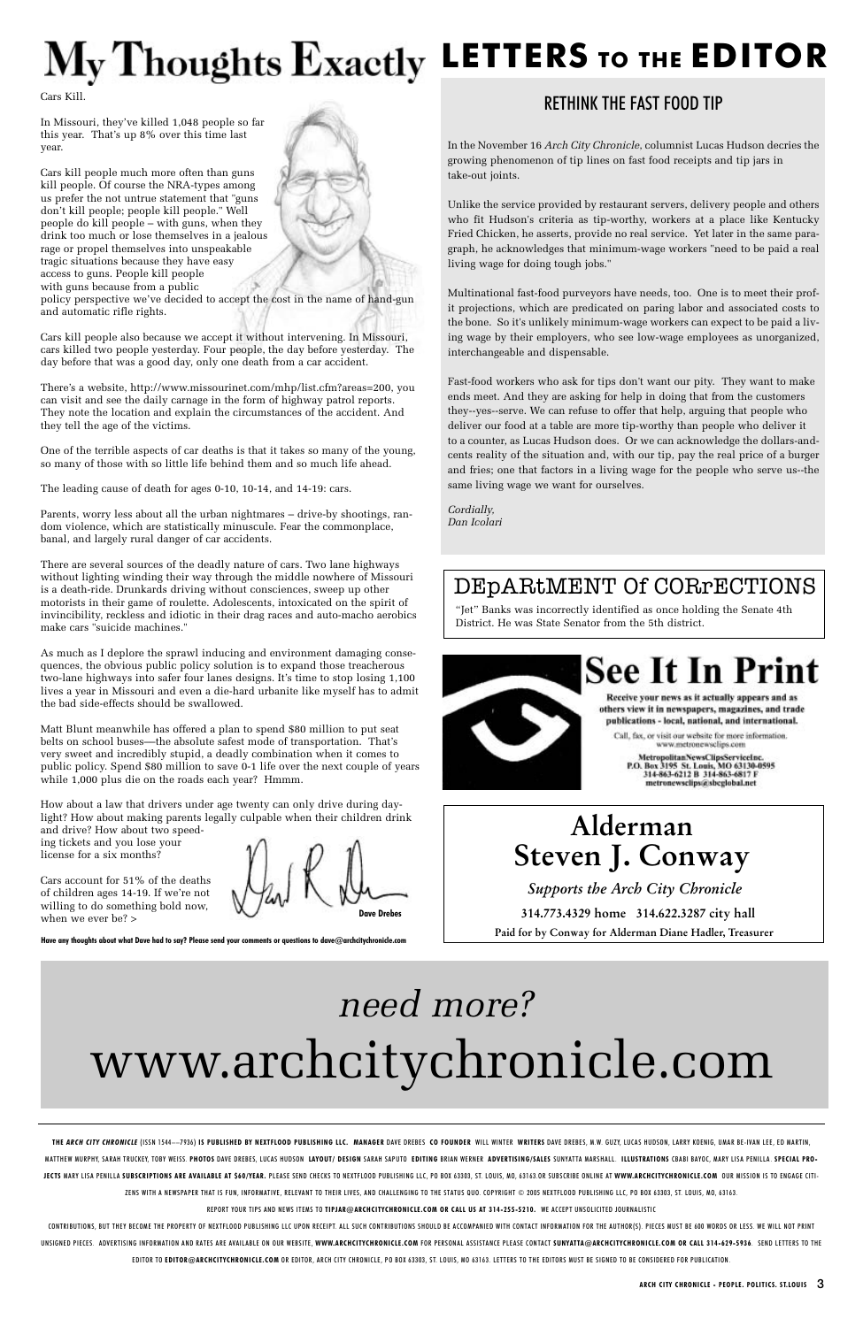# **LETTERS TO THE EDITOR**

#### RETHINK THE FAST FOOD TIP

In the November 16 *Arch City Chronicle*, columnist Lucas Hudson decries the growing phenomenon of tip lines on fast food receipts and tip jars in take-out joints.

Unlike the service provided by restaurant servers, delivery people and others who fit Hudson's criteria as tip-worthy, workers at a place like Kentucky Fried Chicken, he asserts, provide no real service. Yet later in the same paragraph, he acknowledges that minimum-wage workers "need to be paid a real living wage for doing tough jobs."

Multinational fast-food purveyors have needs, too. One is to meet their profit projections, which are predicated on paring labor and associated costs to the bone. So it's unlikely minimum-wage workers can expect to be paid a living wage by their employers, who see low-wage employees as unorganized, interchangeable and dispensable.

Fast-food workers who ask for tips don't want our pity. They want to make ends meet. And they are asking for help in doing that from the customers they--yes--serve. We can refuse to offer that help, arguing that people who deliver our food at a table are more tip-worthy than people who deliver it to a counter, as Lucas Hudson does. Or we can acknowledge the dollars-andcents reality of the situation and, with our tip, pay the real price of a burger and fries; one that factors in a living wage for the people who serve us--the same living wage we want for ourselves.

*Cordially, Dan Icolari*

**Have any thoughts about what Dave had to say? Please send your comments or questions to dave@archcitychronicle.com**

Cars Kill.

In Missouri, they've killed 1,048 people so far this year. That's up 8% over this time last year.

Cars kill people much more often than guns kill people. Of course the NRA-types among us prefer the not untrue statement that "guns don't kill people; people kill people." Well people do kill people – with guns, when they drink too much or lose themselves in a jealous rage or propel themselves into unspeakable tragic situations because they have easy access to guns. People kill people with guns because from a public policy perspective we've decided to accept the cost in the name of hand-gun and automatic rifle rights.

of children ages 14-19. If we're not willing to do something bold now, when we ever be? > **Dave Drebes** 

Cars kill people also because we accept it without intervening. In Missouri, cars killed two people yesterday. Four people, the day before yesterday. The day before that was a good day, only one death from a car accident.

There's a website, http://www.missourinet.com/mhp/list.cfm?areas=200, you can visit and see the daily carnage in the form of highway patrol reports. They note the location and explain the circumstances of the accident. And they tell the age of the victims.

THE ARCH CITY CHRONICLE (ISSN 1544--7936) IS PUBLISHED BY NEXTFLOOD PUBLISHING LLC. MANAGER DAVE DREBES CO FOUNDER WILL WINTER WRITERS DAVE DREBES, M.W. GUZY, LUCAS HUDSON, LARRY KOENIG, UMAR BE-IVAN LEE, ED MARTIN, MATTHEW MURPHY, SARAH TRUCKEY, TOBY WEISS. PHOTOS DAVE DREBES, LUCAS HUDSON LAYOUT/ DESIGN SARAH SAPUTO EDITING BRIAN WERNER ADVERTISING/SALES SUNYATTA MARSHALL. ILLUSTRATIONS CBABI BAYOC, MARY LISA PENILLA. SPECIAL PRO-JECTS MARY LISA PENILLA SUBSCRIPTIONS ARE AVAILABLE AT S60/YEAR. PLEASE SEND CHECKS TO NEXTFLOOD PUBLISHING LLC, PO BOX 63303, ST. LOUIS, MO, 63163.OR SUBSCRIBE ONLINE AT WWW.ARCHCITYCHRONICLE.COM OUR MISSION IS TO ENGAGE ZENS WITH A NEWSPAPER THAT IS FUN, INFORMATIVE, RELEVANT TO THEIR LIVES, AND CHALLENGING TO THE STATUS QUO. COPYRIGHT © 2005 NEXTFLOOD PUBLISHING LLC, PO BOX 63303, ST. LOUIS, MO, 63163.

One of the terrible aspects of car deaths is that it takes so many of the young, so many of those with so little life behind them and so much life ahead.

The leading cause of death for ages 0-10, 10-14, and 14-19: cars.

Parents, worry less about all the urban nightmares – drive-by shootings, random violence, which are statistically minuscule. Fear the commonplace, banal, and largely rural danger of car accidents.

CONTRIBUTIONS, BUT THEY BECOME THE PROPERTY OF NEXTFLOOD PUBLISHING LLC UPON RECEIPT. ALL SUCH CONTRIBUTIONS SHOULD BE ACCOMPANIED WITH CONTACT INFORMATION FOR THE AUTHOR(S). PIECES MUST BE 600 WORDS OR LESS. WE WILL NOT P UNSIGNED PIECES. ADVERTISING INFORMATION AND RATES ARE AVAILABLE ON OUR WEBSITE, WWW.ARCHCITYCHRONICLE.COM FOR PERSONAL ASSISTANCE PLEASE CONTACT SUNYATTA@ARCHCITYCHRONICLE.COM OR CALL 314-629-5936. SEND LETTERS TO THE EDITOR TO **EDITOR@ARCHCITYCHRONICLE.COM** OR EDITOR, ARCH CITY CHRONICLE, PO BOX 63303, ST. LOUIS, MO 63163. LETTERS TO THE EDITORS MUST BE SIGNED TO BE CONSIDERED FOR PUBLICATION.

There are several sources of the deadly nature of cars. Two lane highways without lighting winding their way through the middle nowhere of Missouri is a death-ride. Drunkards driving without consciences, sweep up other motorists in their game of roulette. Adolescents, intoxicated on the spirit of invincibility, reckless and idiotic in their drag races and auto-macho aerobics make cars "suicide machines."

As much as I deplore the sprawl inducing and environment damaging consequences, the obvious public policy solution is to expand those treacherous two-lane highways into safer four lanes designs. It's time to stop losing 1,100 lives a year in Missouri and even a die-hard urbanite like myself has to admit the bad side-effects should be swallowed.

Matt Blunt meanwhile has offered a plan to spend \$80 million to put seat belts on school buses––the absolute safest mode of transportation. That's very sweet and incredibly stupid, a deadly combination when it comes to public policy. Spend \$80 million to save 0-1 life over the next couple of years while 1,000 plus die on the roads each year? Hmmm.

How about a law that drivers under age twenty can only drive during daylight? How about making parents legally culpable when their children drink and drive? How about two speed-

ing tickets and you lose your license for a six months?

Cars account for 51% of the deaths

REPORT YOUR TIPS AND NEWS ITEMS TO **TIPJAR@ARCHCITYCHRONICLE.COM OR CALL US AT 314-255-5210.** WE ACCEPT UNSOLICITED JOURNALISTIC

# www.archcitychronicle.com *need more?*

"Jet" Banks was incorrectly identified as once holding the Senate 4th District. He was State Senator from the 5th district.



# **See It In Print**

Receive your news as it actually appears and as others view it in newspapers, magazines, and trade publications - local, national, and international.

Call, fax, or visit our website for more information. www.metronewsclips.com

MetropolitanNewsClipsServiceInc.<br>P.O. Box 3195 St. Louis, MO 63130-0595<br>314-863-6212 B 314-863-6817 F metronewsclips@sbcglobal.net

### DEpARtMENT Of CORrECTIONS

**314.773.4329 home 314.622.3287 city hall**

# **Alderman Steven J. Conway**

**Paid for by Conway for Alderman Diane Hadler, Treasurer**

*Supports the Arch City Chronicle*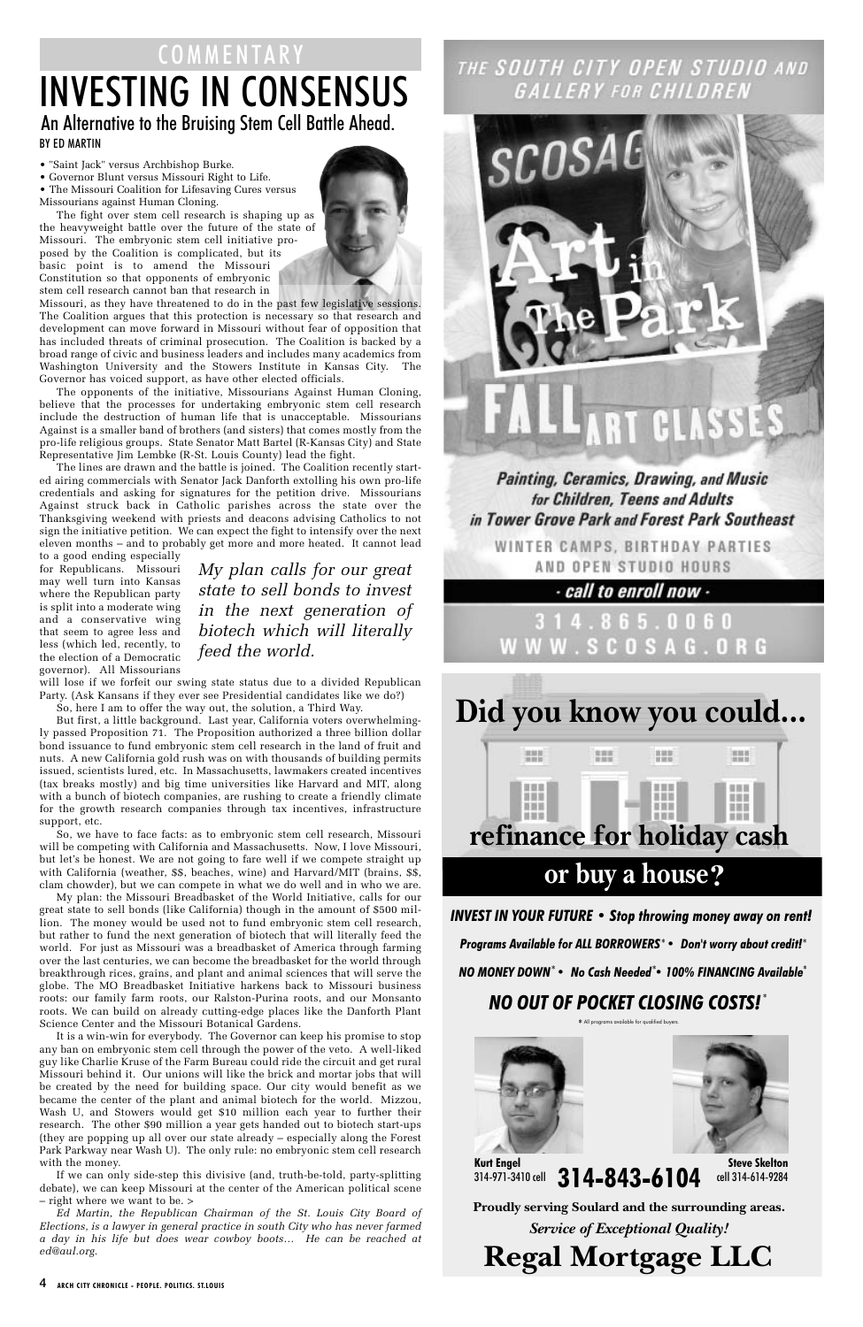• "Saint Jack" versus Archbishop Burke.

• Governor Blunt versus Missouri Right to Life.

• The Missouri Coalition for Lifesaving Cures versus Missourians against Human Cloning.

The fight over stem cell research is shaping up as the heavyweight battle over the future of the state of Missouri. The embryonic stem cell initiative proposed by the Coalition is complicated, but its basic point is to amend the Missouri Constitution so that opponents of embryonic stem cell research cannot ban that research in



Missouri, as they have threatened to do in the past few legislative sessions. The Coalition argues that this protection is necessary so that research and development can move forward in Missouri without fear of opposition that has included threats of criminal prosecution. The Coalition is backed by a broad range of civic and business leaders and includes many academics from Washington University and the Stowers Institute in Kansas City. The Governor has voiced support, as have other elected officials.

The opponents of the initiative, Missourians Against Human Cloning, believe that the processes for undertaking embryonic stem cell research include the destruction of human life that is unacceptable. Missourians Against is a smaller band of brothers (and sisters) that comes mostly from the pro-life religious groups. State Senator Matt Bartel (R-Kansas City) and State Representative Jim Lembke (R-St. Louis County) lead the fight.

The lines are drawn and the battle is joined. The Coalition recently started airing commercials with Senator Jack Danforth extolling his own pro-life credentials and asking for signatures for the petition drive. Missourians Against struck back in Catholic parishes across the state over the Thanksgiving weekend with priests and deacons advising Catholics to not sign the initiative petition. We can expect the fight to intensify over the next eleven months – and to probably get more and more heated. It cannot lead

to a good ending especially for Republicans. Missouri may well turn into Kansas where the Republican party is split into a moderate wing and a conservative wing that seem to agree less and less (which led, recently, to the election of a Democratic governor). All Missourians

will lose if we forfeit our swing state status due to a divided Republican Party. (Ask Kansans if they ever see Presidential candidates like we do?)

So, here I am to offer the way out, the solution, a Third Way.

## BY ED MARTIN INVESTING IN CONSENSUS COMMENTARY An Alternative to the Bruising Stem Cell Battle Ahead.

But first, a little background. Last year, California voters overwhelmingly passed Proposition 71. The Proposition authorized a three billion dollar bond issuance to fund embryonic stem cell research in the land of fruit and nuts. A new California gold rush was on with thousands of building permits issued, scientists lured, etc. In Massachusetts, lawmakers created incentives (tax breaks mostly) and big time universities like Harvard and MIT, along with a bunch of biotech companies, are rushing to create a friendly climate for the growth research companies through tax incentives, infrastructure support, etc.

> Kurt Engel<br>314-971-3410 cell **314-843-6104** 314-971-3410 cell **Steve Skelton** cell 314-614-9284

So, we have to face facts: as to embryonic stem cell research, Missouri will be competing with California and Massachusetts. Now, I love Missouri, but let's be honest. We are not going to fare well if we compete straight up with California (weather, \$\$, beaches, wine) and Harvard/MIT (brains, \$\$, clam chowder), but we can compete in what we do well and in who we are.

My plan: the Missouri Breadbasket of the World Initiative, calls for our great state to sell bonds (like California) though in the amount of \$500 million. The money would be used not to fund embryonic stem cell research, but rather to fund the next generation of biotech that will literally feed the world. For just as Missouri was a breadbasket of America through farming over the last centuries, we can become the breadbasket for the world through breakthrough rices, grains, and plant and animal sciences that will serve the globe. The MO Breadbasket Initiative harkens back to Missouri business roots: our family farm roots, our Ralston-Purina roots, and our Monsanto roots. We can build on already cutting-edge places like the Danforth Plant Science Center and the Missouri Botanical Gardens. It is a win-win for everybody. The Governor can keep his promise to stop any ban on embryonic stem cell through the power of the veto. A well-liked guy like Charlie Kruse of the Farm Bureau could ride the circuit and get rural Missouri behind it. Our unions will like the brick and mortar jobs that will be created by the need for building space. Our city would benefit as we became the center of the plant and animal biotech for the world. Mizzou, Wash U, and Stowers would get \$10 million each year to further their research. The other \$90 million a year gets handed out to biotech start-ups (they are popping up all over our state already – especially along the Forest Park Parkway near Wash U). The only rule: no embryonic stem cell research with the money. If we can only side-step this divisive (and, truth-be-told, party-splitting debate), we can keep Missouri at the center of the American political scene – right where we want to be. > *Ed Martin, the Republican Chairman of the St. Louis City Board of Elections, is a lawyer in general practice in south City who has never farmed a day in his life but does wear cowboy boots… He can be reached at ed@aul.org.*

### THE SOUTH CITY OPEN STUDIO AND GALLERY FOR CHILDREN



#### **Painting, Ceramics, Drawing, and Music** for Children, Teens and Adults in Tower Grove Park and Forest Park Southeast

WINTER CAMPS, BIRTHDAY PARTIES AND OPEN STUDIO HOURS

 $\cdot$  call to enroll now  $\cdot$ 

14.865.0060 **WWW.SCOSAG.ORG** 

4 **ARCH CITY CHRONICLE - PEOPLE. POLITICS. ST.LOUIS**

**Regal Mortgage LLC**

*Service of Exceptional Quality!*

**Proudly serving Soulard and the surrounding areas.**

#### *INVEST IN YOUR FUTURE • Stop throwing money away on rent!*



*Programs Available for ALL BORROWERS • Don't worry about credit!* \* \*

\* All programs available for qualified buyers.



*NO MONEY DOWN • No Cash Needed • 100% FINANCING Available* \* \* \* *NO OUT OF POCKET CLOSING COSTS!* \*

*My plan calls for our great state to sell bonds to invest in the next generation of biotech which will literally feed the world.*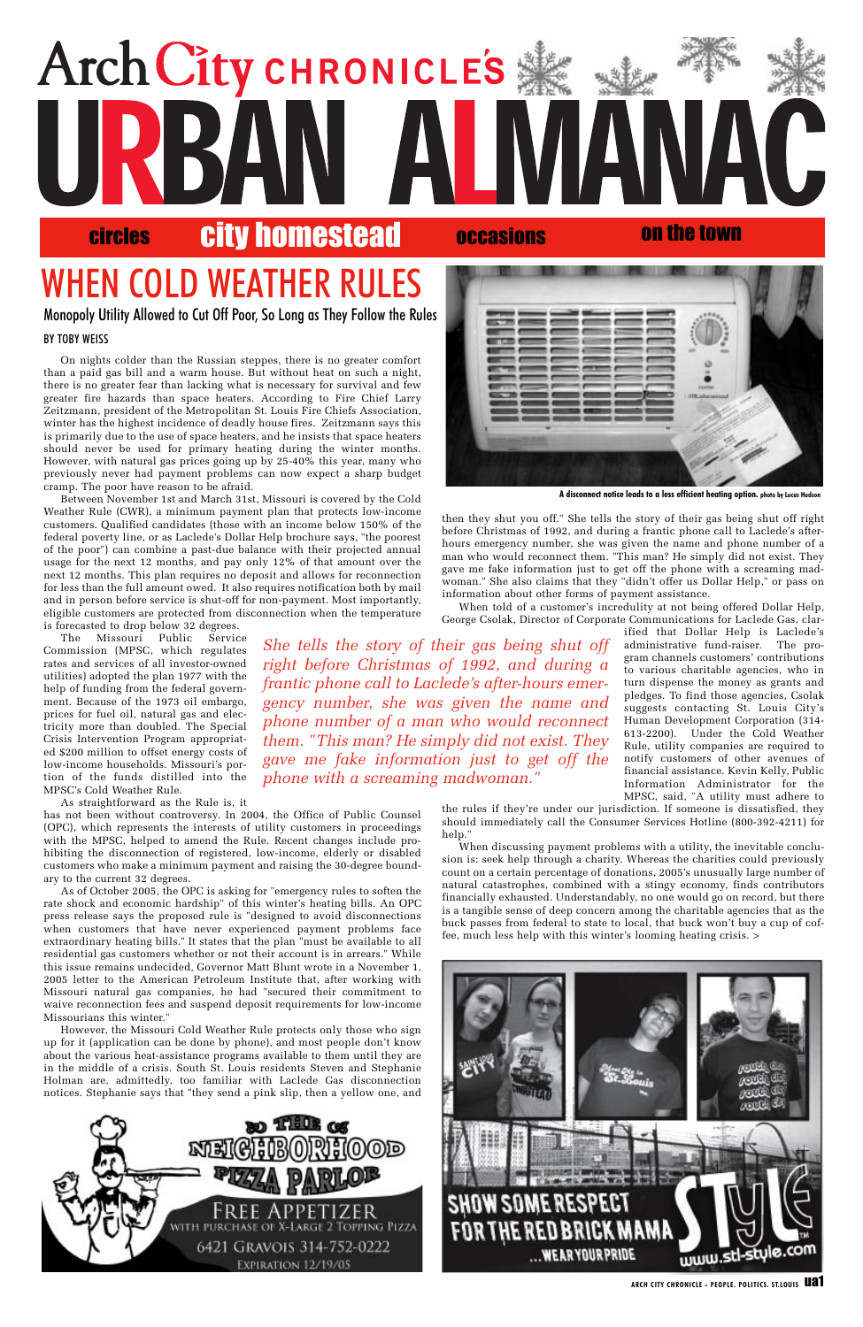then they shut you off." She tells the story of their gas being shut off right before Christmas of 1992, and during a frantic phone call to Laclede's afterhours emergency number, she was given the name and phone number of a man who would reconnect them. "This man? He simply did not exist. They gave me fake information just to get off the phone with a screaming madwoman." She also claims that they "didn't offer us Dollar Help," or pass on information about other forms of payment assistance.

When told of a customer's incredulity at not being offered Dollar Help, George Csolak, Director of Corporate Communications for Laclede Gas, clar-

ified that Dollar Help is Laclede's administrative fund-raiser. The program channels customers' contributions to various charitable agencies, who in turn dispense the money as grants and pledges. To find those agencies, Csolak suggests contacting St. Louis City's Human Development Corporation (314- 613-2200). Under the Cold Weather Rule, utility companies are required to notify customers of other avenues of financial assistance. Kevin Kelly, Public Information Administrator for the MPSC, said, "A utility must adhere to

the rules if they're under our jurisdiction. If someone is dissatisfied, they should immediately call the Consumer Services Hotline (800-392-4211) for help."

When discussing payment problems with a utility, the inevitable conclusion is: seek help through a charity. Whereas the charities could previously count on a certain percentage of donations, 2005's unusually large number of natural catastrophes, combined with a stingy economy, finds contributors financially exhausted. Understandably, no one would go on record, but there is a tangible sense of deep concern among the charitable agencies that as the buck passes from federal to state to local, that buck won't buy a cup of coffee, much less help with this winter's looming heating crisis. >





ARCH CITY CHRONICLE - PEOPLE. POLITICS. ST.LOUIS **UA1** 

#### BY TOBY WEISS

On nights colder than the Russian steppes, there is no greater comfort than a paid gas bill and a warm house. But without heat on such a night, there is no greater fear than lacking what is necessary for survival and few greater fire hazards than space heaters. According to Fire Chief Larry Zeitzmann, president of the Metropolitan St. Louis Fire Chiefs Association, winter has the highest incidence of deadly house fires. Zeitzmann says this is primarily due to the use of space heaters, and he insists that space heaters should never be used for primary heating during the winter months. However, with natural gas prices going up by 25-40% this year, many who previously never had payment problems can now expect a sharp budget cramp. The poor have reason to be afraid.

# **Arch City CHRONICLES** circles city homestead occasions on the town

Between November 1st and March 31st, Missouri is covered by the Cold Weather Rule (CWR), a minimum payment plan that protects low-income customers. Qualified candidates (those with an income below 150% of the federal poverty line, or as Laclede's Dollar Help brochure says, "the poorest of the poor") can combine a past-due balance with their projected annual usage for the next 12 months, and pay only 12% of that amount over the next 12 months. This plan requires no deposit and allows for reconnection for less than the full amount owed. It also requires notification both by mail and in person before service is shut-off for non-payment. Most importantly, eligible customers are protected from disconnection when the temperature is forecasted to drop below 32 degrees.

The Missouri Public Service Commission (MPSC, which regulates rates and services of all investor-owned utilities) adopted the plan 1977 with the help of funding from the federal government. Because of the 1973 oil embargo, prices for fuel oil, natural gas and electricity more than doubled. The Special Crisis Intervention Program appropriated \$200 million to offset energy costs of low-income households. Missouri's portion of the funds distilled into the MPSC's Cold Weather Rule.

As straightforward as the Rule is, it

has not been without controversy. In 2004, the Office of Public Counsel (OPC), which represents the interests of utility customers in proceedings with the MPSC, helped to amend the Rule. Recent changes include prohibiting the disconnection of registered, low-income, elderly or disabled customers who make a minimum payment and raising the 30-degree boundary to the current 32 degrees.

As of October 2005, the OPC is asking for "emergency rules to soften the rate shock and economic hardship" of this winter's heating bills. An OPC press release says the proposed rule is "designed to avoid disconnections when customers that have never experienced payment problems face extraordinary heating bills." It states that the plan "must be available to all residential gas customers whether or not their account is in arrears." While this issue remains undecided, Governor Matt Blunt wrote in a November 1, 2005 letter to the American Petroleum Institute that, after working with Missouri natural gas companies, he had "secured their commitment to waive reconnection fees and suspend deposit requirements for low-income Missourians this winter." However, the Missouri Cold Weather Rule protects only those who sign up for it (application can be done by phone), and most people don't know about the various heat-assistance programs available to them until they are in the middle of a crisis. South St. Louis residents Steven and Stephanie Holman are, admittedly, too familiar with Laclede Gas disconnection notices. Stephanie says that "they send a pink slip, then a yellow one, and

*She tells the story of their gas being shut off right before Christmas of 1992, and during a frantic phone call to Laclede's after-hours emergency number, she was given the name and phone number of a man who would reconnect them. "This man? He simply did not exist. They gave me fake information just to get off the phone with a screaming madwoman."* 

# WHEN COLD WEATHER RULES



**A disconnect notice leads to a less efficient heating option. photo by Lucas Hudson**

Monopoly Utility Allowed to Cut Off Poor, So Long as They Follow the Rules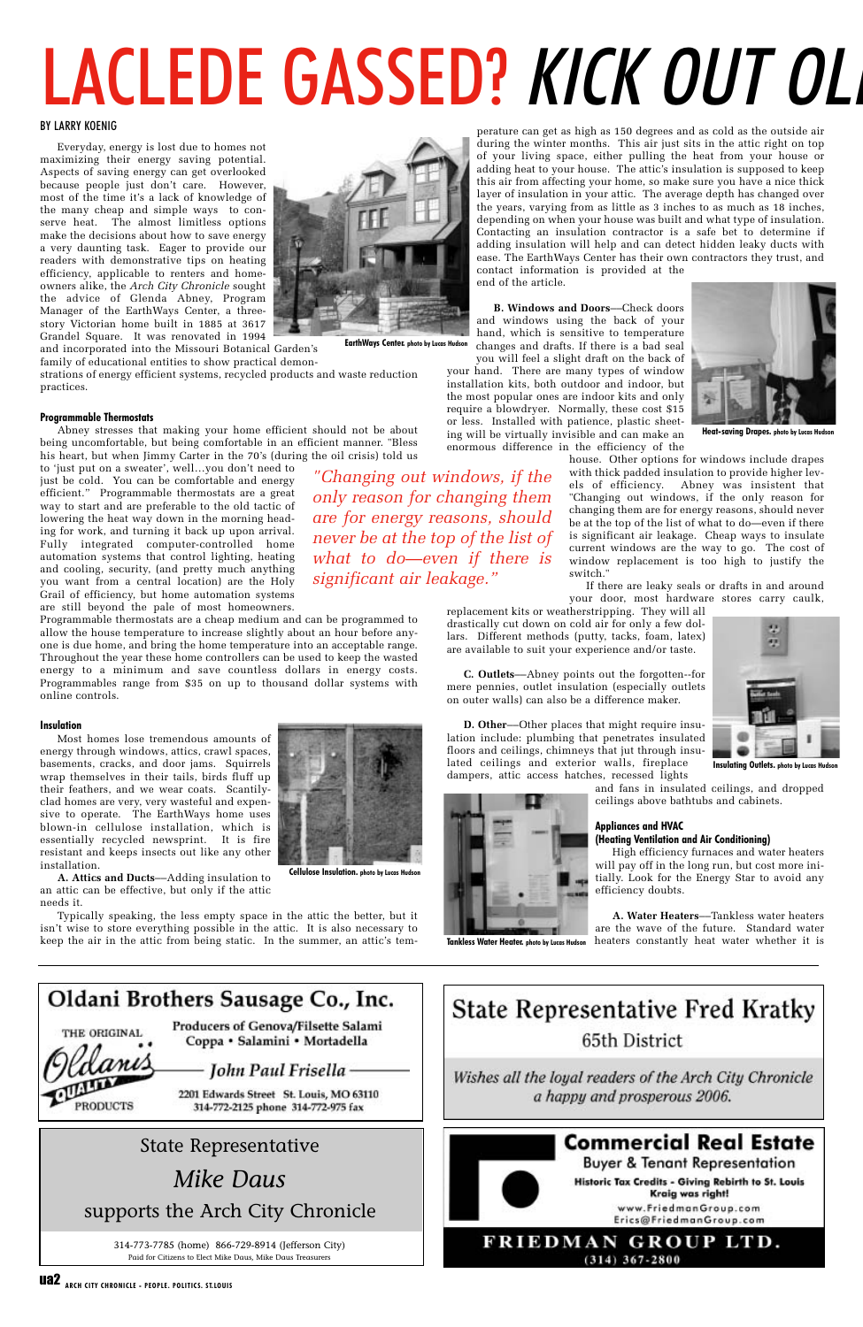perature can get as high as 150 degrees and as cold as the outside air during the winter months. This air just sits in the attic right on top of your living space, either pulling the heat from your house or adding heat to your house. The attic's insulation is supposed to keep this air from affecting your home, so make sure you have a nice thick layer of insulation in your attic. The average depth has changed over the years, varying from as little as 3 inches to as much as 18 inches, depending on when your house was built and what type of insulation. Contacting an insulation contractor is a safe bet to determine if adding insulation will help and can detect hidden leaky ducts with ease. The EarthWays Center has their own contractors they trust, and contact information is provided at the end of the article.

**B. Windows and Doors**––Check doors and windows using the back of your hand, which is sensitive to temperature changes and drafts. If there is a bad seal

you will feel a slight draft on the back of your hand. There are many types of window installation kits, both outdoor and indoor, but the most popular ones are indoor kits and only require a blowdryer. Normally, these cost \$15 or less. Installed with patience, plastic sheeting will be virtually invisible and can make an enormous difference in the efficiency of the

> house. Other options for windows include drapes with thick padded insulation to provide higher levels of efficiency. Abney was insistent that "Changing out windows, if the only reason for changing them are for energy reasons, should never be at the top of the list of what to do—even if there is significant air leakage. Cheap ways to insulate current windows are the way to go. The cost of window replacement is too high to justify the

switch."

replacement kits or weatherstripping. They will all drastically cut down on cold air for only a few dollars. Different methods (putty, tacks, foam, latex) are available to suit your experience and/or taste.

**C. Outlets**––Abney points out the forgotten--for mere pennies, outlet insulation (especially outlets on outer walls) can also be a difference maker.

**D. Other**––Other places that might require insulation include: plumbing that penetrates insulated floors and ceilings, chimneys that jut through insulated ceilings and exterior walls, fireplace dampers, attic access hatches, recessed lights

> and fans in insulated ceilings, and dropped ceilings above bathtubs and cabinets.

#### **Appliances and HVAC (Heating Ventilation and Air Conditioning)**

High efficiency furnaces and water heaters will pay off in the long run, but cost more initially. Look for the Energy Star to avoid any efficiency doubts.

**A. Water Heaters**––Tankless water heaters are the wave of the future. Standard water heaters constantly heat water whether it is

## Oldani Brothers Sausage Co., Inc.

THE ORIGINAL

**PRODUCTS** 

**Producers of Genova/Filsette Salami** Coppa • Salamini • Mortadella

ua2 **ARCH CITY CHRONICLE - PEOPLE. POLITICS. ST.LOUIS**

# LACLEDE GASSED? KICK OUT OLD

#### BY LARRY KOENIG

Everyday, energy is lost due to homes not maximizing their energy saving potential. Aspects of saving energy can get overlooked because people just don't care. However, most of the time it's a lack of knowledge of the many cheap and simple ways to conserve heat. The almost limitless options make the decisions about how to save energy a very daunting task. Eager to provide our readers with demonstrative tips on heating efficiency, applicable to renters and homeowners alike, the *Arch City Chronicle* sought the advice of Glenda Abney, Program Manager of the EarthWays Center, a threestory Victorian home built in 1885 at 3617 Grandel Square. It was renovated in 1994



and incorporated into the Missouri Botanical Garden's family of educational entities to show practical demon-

strations of energy efficient systems, recycled products and waste reduction practices.

#### **Programmable Thermostats**

Abney stresses that making your home efficient should not be about being uncomfortable, but being comfortable in an efficient manner. "Bless his heart, but when Jimmy Carter in the 70's (during the oil crisis) told us



**Insulating Outlets. photo by Lucas Hudson**

to 'just put on a sweater', well…you don't need to just be cold. You can be comfortable and energy efficient." Programmable thermostats are a great way to start and are preferable to the old tactic of lowering the heat way down in the morning heading for work, and turning it back up upon arrival. Fully integrated computer-controlled home automation systems that control lighting, heating and cooling, security, (and pretty much anything you want from a central location) are the Holy Grail of efficiency, but home automation systems are still beyond the pale of most homeowners.

Programmable thermostats are a cheap medium and can be programmed to allow the house temperature to increase slightly about an hour before anyone is due home, and bring the home temperature into an acceptable range. Throughout the year these home controllers can be used to keep the wasted energy to a minimum and save countless dollars in energy costs. Programmables range from \$35 on up to thousand dollar systems with online controls.

#### **Insulation**

Most homes lose tremendous amounts of energy through windows, attics, crawl spaces, basements, cracks, and door jams. Squirrels wrap themselves in their tails, birds fluff up their feathers, and we wear coats. Scantilyclad homes are very, very wasteful and expensive to operate. The EarthWays home uses blown-in cellulose installation, which is essentially recycled newsprint. It is fire resistant and keeps insects out like any other installation.



Typically speaking, the less empty space in the attic the better, but it isn't wise to store everything possible in the attic. It is also necessary to keep the air in the attic from being static. In the summer, an attic's tem-

*"Changing out windows, if the only reason for changing them are for energy reasons, should never be at the top of the list of what to do—even if there is significant air leakage."*

**EarthWays Center. photo by Lucas Hudson**

**Cellulose Insulation. photo by Lucas Hudson**

John Paul Frisella -

2201 Edwards Street St. Louis, MO 63110 314-772-2125 phone 314-772-975 fax



**Heat-saving Drapes. photo by Lucas Hudson**



**Tankless Water Heater. photo by Lucas Hudson**

## State Representative *Mike Daus* supports the Arch City Chronicle

314-773-7785 (home) 866-729-8914 (Jefferson City) Paid for Citizens to Elect Mike Daus, Mike Daus Treasurers

**State Representative Fred Kratky** 65th District

Wishes all the loyal readers of the Arch City Chronicle a happy and prosperous 2006.



## **Commercial Real Estate**

**Buyer & Tenant Representation** 

Historic Tax Credits - Giving Rebirth to St. Louis Kraig was right!

www.FriedmanGroup.com Erics@FriedmanGroup.com

#### FRIEDMAN GROUP LTD.  $(314) 367 - 2800$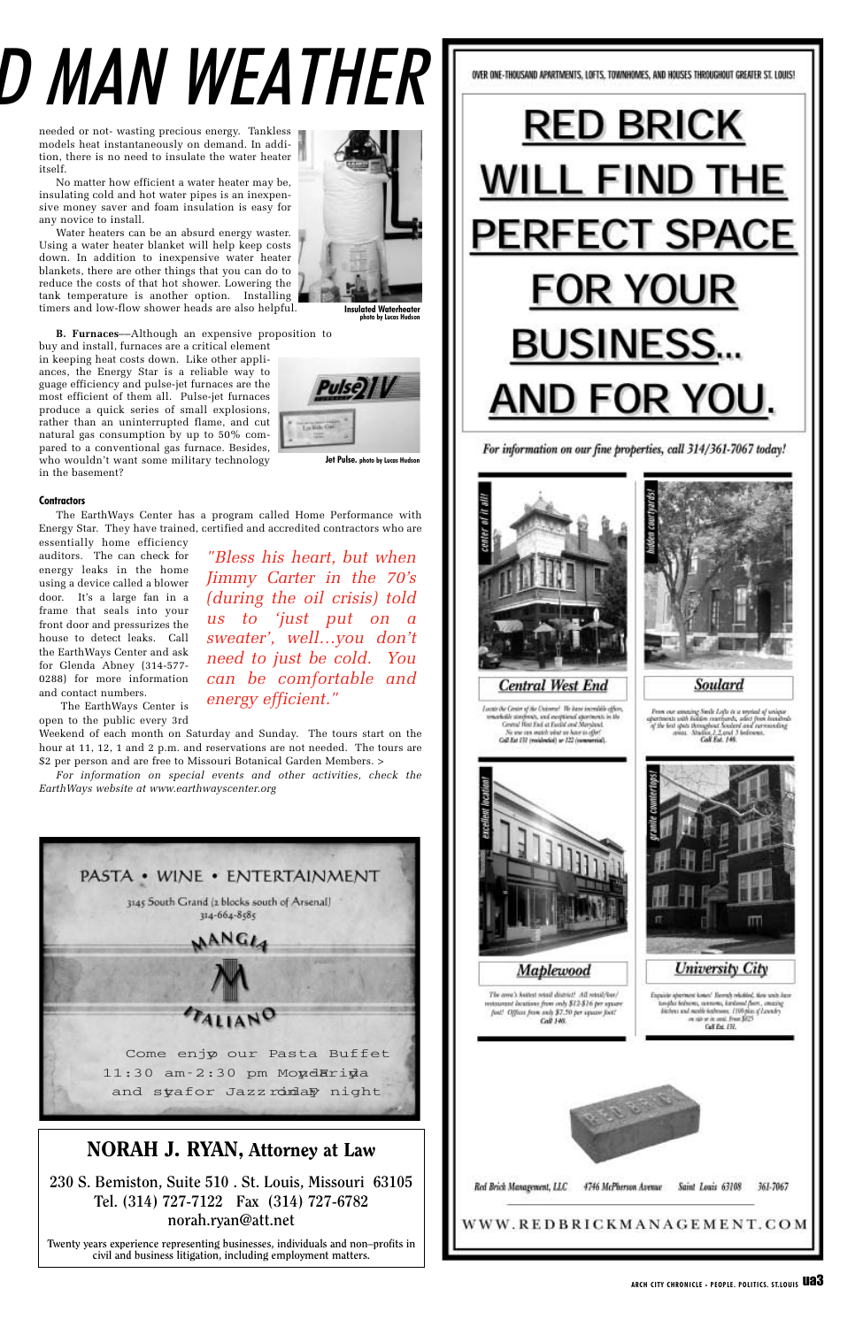needed or not- wasting precious energy. Tankless models heat instantaneously on demand. In addition, there is no need to insulate the water heater itself.

No matter how efficient a water heater may be, insulating cold and hot water pipes is an inexpensive money saver and foam insulation is easy for any novice to install.

Water heaters can be an absurd energy waster. Using a water heater blanket will help keep costs down. In addition to inexpensive water heater blankets, there are other things that you can do to reduce the costs of that hot shower. Lowering the tank temperature is another option. Installing timers and low-flow shower heads are also helpful.

**B. Furnaces**––Although an expensive proposition to

buy and install, furnaces are a critical element in keeping heat costs down. Like other appliances, the Energy Star is a reliable way to guage efficiency and pulse-jet furnaces are the most efficient of them all. Pulse-jet furnaces produce a quick series of small explosions, rather than an uninterrupted flame, and cut natural gas consumption by up to 50% compared to a conventional gas furnace. Besides, who wouldn't want some military technology in the basement?

#### **Contractors**

The EarthWays Center has a program called Home Performance with Energy Star. They have trained, certified and accredited contractors who are

essentially home efficiency auditors. The can check for energy leaks in the home using a device called a blower door. It's a large fan in a frame that seals into your front door and pressurizes the house to detect leaks. Call the EarthWays Center and ask for Glenda Abney (314-577- 0288) for more information and contact numbers.

The EarthWays Center is open to the public every 3rd

Weekend of each month on Saturday and Sunday. The tours start on the hour at 11, 12, 1 and 2 p.m. and reservations are not needed. The tours are \$2 per person and are free to Missouri Botanical Garden Members. >

*For information on special events and other activities, check the EarthWays website at www.earthwayscenter.org*





#### **NORAH J. RYAN, Attorney at Law**

**230 S. Bemiston, Suite 510 . St. Louis, Missouri 63105 Tel. (314) 727-7122 Fax (314) 727-6782 norah.ryan@att.net**

**Twenty years experience representing businesses, individuals and non–profits in civil and business litigation, including employment matters.**



# D MAN WEATHER



*sweater', well…you don't need to just be cold. You can be comfortable and energy efficient."*

**Jet Pulse. photo by Lucas Hudson**

OVER ONE-THOUSAND APARTMENTS, LOFTS, TOWNHOMES, AND HOUSES THROUGHOUT GREATER ST. LOUIS!



For information on our fine properties, call 314/361-7067 today!



Soulard

Locate the Center of the Universe! We have incredible offices,  $\begin{array}{l} \textbf{From our among Snck} \; Lof \alpha \; \alpha \; \textbf{w} \; \textbf{mids} \; \textbf{d} \; \textbf{w} \; \textbf{w} \; \textbf{m} \; \textbf{m} \; \textbf{m} \; \textbf{m} \; \textbf{m} \; \textbf{m} \; \textbf{m} \; \textbf{m} \; \textbf{m} \; \textbf{m} \; \textbf{m} \; \textbf{m} \; \textbf{m} \; \textbf{m} \; \textbf{m} \; \textbf{m} \; \textbf{m} \; \textbf{m} \; \textbf{m}$ marketile storehouts, and enceptional apartments in the<br>General Hist End at Excelel and Maryland. No use can match what we have to offer?<br>Gall Ext  $122$  (restaurated)



**Insulated Waterheater photo by Lucas Hudson**

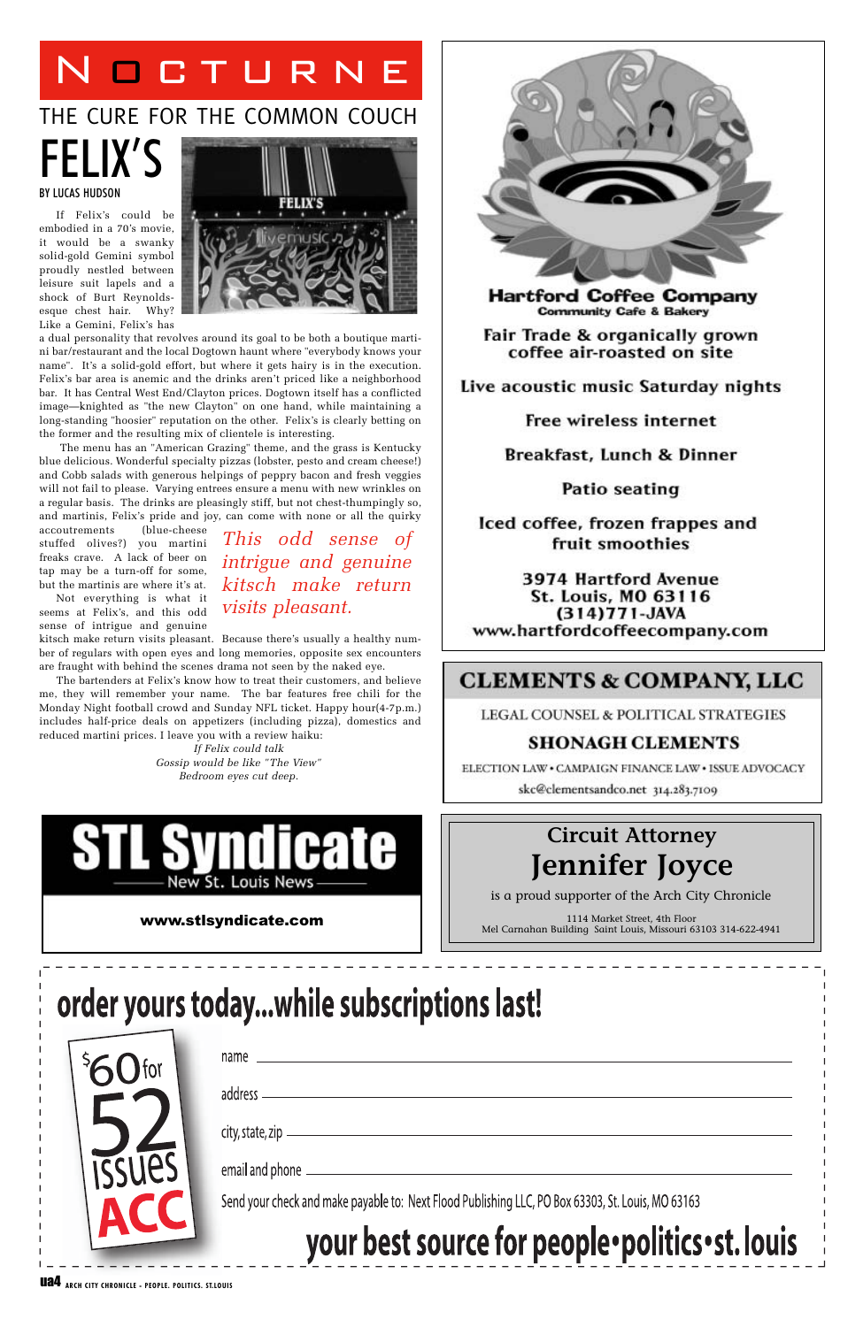## FELIX'S BY LUCAS HUDSON

If Felix's could be embodied in a 70's movie, it would be a swanky solid-gold Gemini symbol proudly nestled between leisure suit lapels and a shock of Burt Reynoldsesque chest hair. Why? Like a Gemini, Felix's has



a dual personality that revolves around its goal to be both a boutique martini bar/restaurant and the local Dogtown haunt where "everybody knows your name". It's a solid-gold effort, but where it gets hairy is in the execution. Felix's bar area is anemic and the drinks aren't priced like a neighborhood bar. It has Central West End/Clayton prices. Dogtown itself has a conflicted image—knighted as "the new Clayton" on one hand, while maintaining a long-standing "hoosier" reputation on the other. Felix's is clearly betting on the former and the resulting mix of clientele is interesting.

The menu has an "American Grazing" theme, and the grass is Kentucky blue delicious. Wonderful specialty pizzas (lobster, pesto and cream cheese!) and Cobb salads with generous helpings of peppry bacon and fresh veggies will not fail to please. Varying entrees ensure a menu with new wrinkles on a regular basis. The drinks are pleasingly stiff, but not chest-thumpingly so, and martinis, Felix's pride and joy, can come with none or all the quirky

> 1114 Market Street, 4th Floor **WWW.Stlsyndicate.com**<br>Mel Carnahan Building Saint Louis, Missouri 63103 314-622-4941

# order yours today...while subscriptions last!

| $\int$ for | name                                                                                              |
|------------|---------------------------------------------------------------------------------------------------|
|            | address -                                                                                         |
|            | $city$ , state, zip $\_\_\_\_\_\_\_\_\_\_\_\_\_\_\_\_\_\_\_\_\_\_\_\_\_\_\_\_\_\_$                |
| ISSUES     | email and phone _                                                                                 |
|            | Send your check and make payable to: Next Flood Publishing LLC, PO Box 63303, St. Louis, MO 63163 |
|            | your best source for people · politics · st. louis                                                |

accoutrements (blue-cheese stuffed olives?) you martini freaks crave. A lack of beer on tap may be a turn-off for some, but the martinis are where it's at.

Not everything is what it seems at Felix's, and this odd sense of intrigue and genuine

kitsch make return visits pleasant. Because there's usually a healthy number of regulars with open eyes and long memories, opposite sex encounters are fraught with behind the scenes drama not seen by the naked eye.

The bartenders at Felix's know how to treat their customers, and believe me, they will remember your name. The bar features free chili for the Monday Night football crowd and Sunday NFL ticket. Happy hour(4-7p.m.) includes half-price deals on appetizers (including pizza), domestics and reduced martini prices. I leave you with a review haiku:

> *If Felix could talk Gossip would be like "The View" Bedroom eyes cut deep.*





**Hartford Coffee Company Community Cafe & Bakery** 

Fair Trade & organically grown coffee air-roasted on site

Live acoustic music Saturday nights

**Free wireless internet** 

Breakfast, Lunch & Dinner

**Patio seating** 

Iced coffee, frozen frappes and fruit smoothies

3974 Hartford Avenue St. Louis, MO 63116 (314) 771-JAVA www.hartfordcoffeecompany.com

### **CLEMENTS & COMPANY, LLC**

LEGAL COUNSEL & POLITICAL STRATEGIES

#### **SHONAGH CLEMENTS**

ELECTION LAW . CAMPAIGN FINANCE LAW . ISSUE ADVOCACY skc@clementsandco.net 314.283.7109

*This odd sense of intrigue and genuine kitsch make return visits pleasant.*

# NOCTURNE

## THE CURE FOR THE COMMON COUCH

## **Circuit Attorney Jennifer Joyce**

is a proud supporter of the Arch City Chronicle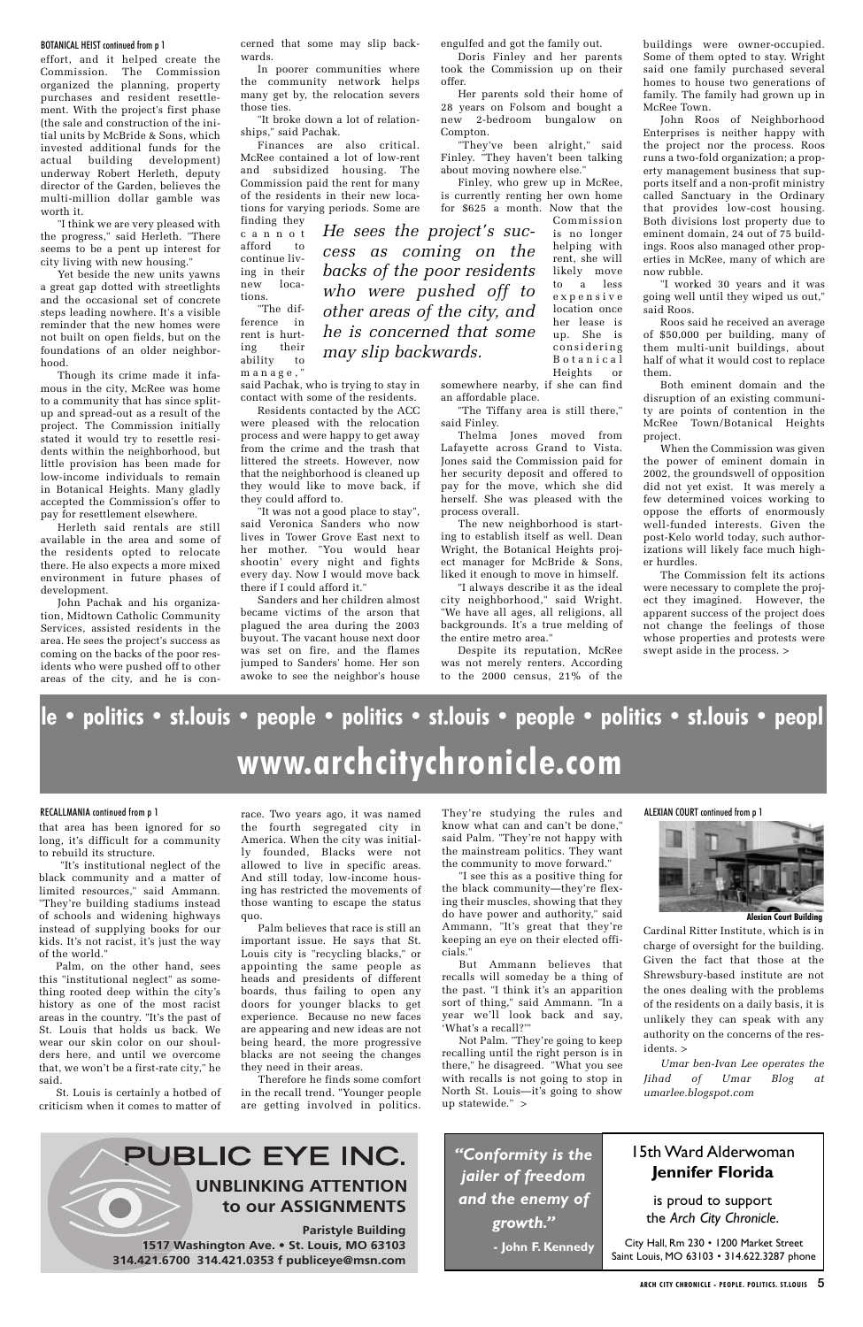effort, and it helped create the Commission. The Commission organized the planning, property purchases and resident resettlement. With the project's first phase (the sale and construction of the initial units by McBride & Sons, which invested additional funds for the actual building development) underway Robert Herleth, deputy director of the Garden, believes the multi-million dollar gamble was worth it.

"I think we are very pleased with the progress," said Herleth. "There seems to be a pent up interest for city living with new housing."

Yet beside the new units yawns a great gap dotted with streetlights and the occasional set of concrete steps leading nowhere. It's a visible reminder that the new homes were not built on open fields, but on the foundations of an older neighborhood.

Though its crime made it infamous in the city, McRee was home to a community that has since splitup and spread-out as a result of the project. The Commission initially stated it would try to resettle residents within the neighborhood, but little provision has been made for low-income individuals to remain in Botanical Heights. Many gladly accepted the Commission's offer to pay for resettlement elsewhere.

Herleth said rentals are still available in the area and some of the residents opted to relocate there. He also expects a more mixed environment in future phases of development.

John Pachak and his organization, Midtown Catholic Community Services, assisted residents in the area. He sees the project's success as coming on the backs of the poor residents who were pushed off to other areas of the city, and he is con-

#### BOTANICAL HEIST continued from p 1

Cardinal Ritter Institute, which is in

charge of oversight for the building. Given the fact that those at the Shrewsbury-based institute are not the ones dealing with the problems of the residents on a daily basis, it is unlikely they can speak with any authority on the concerns of the residents. >

ference in rent is hurting their ability to manage,"

> *Umar ben-Ivan Lee operates the Jihad of Umar Blog at umarlee.blogspot.com*

### PUBLIC EYE INC.

ALEXIAN COURT continued from p 1

engulfed and got the family out.

Doris Finley and her parents took the Commission up on their offer.

Her parents sold their home of 28 years on Folsom and bought a new 2-bedroom bungalow on Compton.

"They've been alright," said Finley. "They haven't been talking about moving nowhere else."

Finley, who grew up in McRee, is currently renting her own home for \$625 a month. Now that the

somewhere nearby, if she can find an affordable place.

"The Tiffany area is still there," said Finley.

Thelma Jones moved from Lafayette across Grand to Vista. Jones said the Commission paid for her security deposit and offered to pay for the move, which she did herself. She was pleased with the process overall.

The new neighborhood is starting to establish itself as well. Dean Wright, the Botanical Heights project manager for McBride & Sons, liked it enough to move in himself.

"I always describe it as the ideal city neighborhood," said Wright. "We have all ages, all religions, all backgrounds. It's a true melding of the entire metro area."

Despite its reputation, McRee was not merely renters. According to the 2000 census, 21% of the

cerned that some may slip backwards.

In poorer communities where the community network helps many get by, the relocation severs those ties.

"It broke down a lot of relationships," said Pachak.

Finances are also critical. McRee contained a lot of low-rent and subsidized housing. The Commission paid the rent for many of the residents in their new locations for varying periods. Some are

finding they c annot afford to continue living in their new locations. "The dif-

said Pachak, who is trying to stay in contact with some of the residents.

Residents contacted by the ACC were pleased with the relocation process and were happy to get away from the crime and the trash that littered the streets. However, now that the neighborhood is cleaned up they would like to move back, if they could afford to.

"It was not a good place to stay", said Veronica Sanders who now lives in Tower Grove East next to her mother. "You would hear shootin' every night and fights every day. Now I would move back there if I could afford it."

Sanders and her children almost became victims of the arson that plagued the area during the 2003 buyout. The vacant house next door was set on fire, and the flames jumped to Sanders' home. Her son awoke to see the neighbor's house buildings were owner-occupied. Some of them opted to stay. Wright said one family purchased several homes to house two generations of family. The family had grown up in McRee Town.

John Roos of Neighborhood Enterprises is neither happy with the project nor the process. Roos runs a two-fold organization; a property management business that supports itself and a non-profit ministry called Sanctuary in the Ordinary that provides low-cost housing. Both divisions lost property due to eminent domain, 24 out of 75 buildings. Roos also managed other properties in McRee, many of which are now rubble.

"I worked 30 years and it was going well until they wiped us out," said Roos.

Roos said he received an average of \$50,000 per building, many of them multi-unit buildings, about half of what it would cost to replace them.

Both eminent domain and the disruption of an existing community are points of contention in the McRee Town/Botanical Heights project.

When the Commission was given the power of eminent domain in 2002, the groundswell of opposition did not yet exist. It was merely a few determined voices working to oppose the efforts of enormously well-funded interests. Given the post-Kelo world today, such authorizations will likely face much higher hurdles.

Commission is no longer helping with rent, she will likely move to a less expensive location once her lease is up. She is considering Botanical Heights or *He sees the project's success as coming on the backs of the poor residents who were pushed off to other areas of the city, and he is concerned that some may slip backwards.* 

> The Commission felt its actions were necessary to complete the project they imagined. However, the apparent success of the project does not change the feelings of those whose properties and protests were swept aside in the process. >

**Paristyle Building 1517 Washington Ave • St Louis MO 63103 314 421.6700 314 421.0353 f publiceye@msn com**

#### **UNBLINKING ATTENTION to our ASSIGNMENTS**

#### 15th Ward Alderwoman **Jennifer Florida**

is proud to support the *Arch City Chronicle*.

City Hall, Rm 230 • 1200 Market Street Saint Louis, MO 63103 • 314.622.3287 phone

ARCH CITY CHRONICLE - PEOPLE. POLITICS. ST.LOUIS 5

*"Conformity is the jailer of freedom and the enemy of growth."* **- John F. Kennedy**

# **le • politics • st.louis • people • politics • st.louis • people • politics • st.louis • peopl www.archcitychronicle.com**

#### RECALLMANIA continued from p 1

that area has been ignored for so long, it's difficult for a community to rebuild its structure.

"It's institutional neglect of the black community and a matter of limited resources," said Ammann. "They're building stadiums instead of schools and widening highways instead of supplying books for our kids. It's not racist, it's just the way

of the world."

Palm, on the other hand, sees this "institutional neglect" as something rooted deep within the city's history as one of the most racist areas in the country. "It's the past of St. Louis that holds us back. We wear our skin color on our shoulders here, and until we overcome that, we won't be a first-rate city," he said.

St. Louis is certainly a hotbed of criticism when it comes to matter of

race. Two years ago, it was named the fourth segregated city in America. When the city was initially founded, Blacks were not allowed to live in specific areas. And still today, low-income housing has restricted the movements of those wanting to escape the status quo.

Palm believes that race is still an important issue. He says that St. Louis city is "recycling blacks," or appointing the same people as heads and presidents of different boards, thus failing to open any doors for younger blacks to get experience. Because no new faces are appearing and new ideas are not being heard, the more progressive blacks are not seeing the changes they need in their areas. Therefore he finds some comfort in the recall trend. "Younger people are getting involved in politics.

They're studying the rules and know what can and can't be done," said Palm. "They're not happy with the mainstream politics. They want the community to move forward."

"I see this as a positive thing for the black community—they're flexing their muscles, showing that they do have power and authority," said Ammann, "It's great that they're keeping an eye on their elected offi-

cials."

But Ammann believes that recalls will someday be a thing of the past. "I think it's an apparition sort of thing," said Ammann. "In a year we'll look back and say, 'What's a recall?'"

Not Palm. "They're going to keep recalling until the right person is in there," he disagreed. "What you see with recalls is not going to stop in North St. Louis—it's going to show up statewide." >



**Alexian Court Building**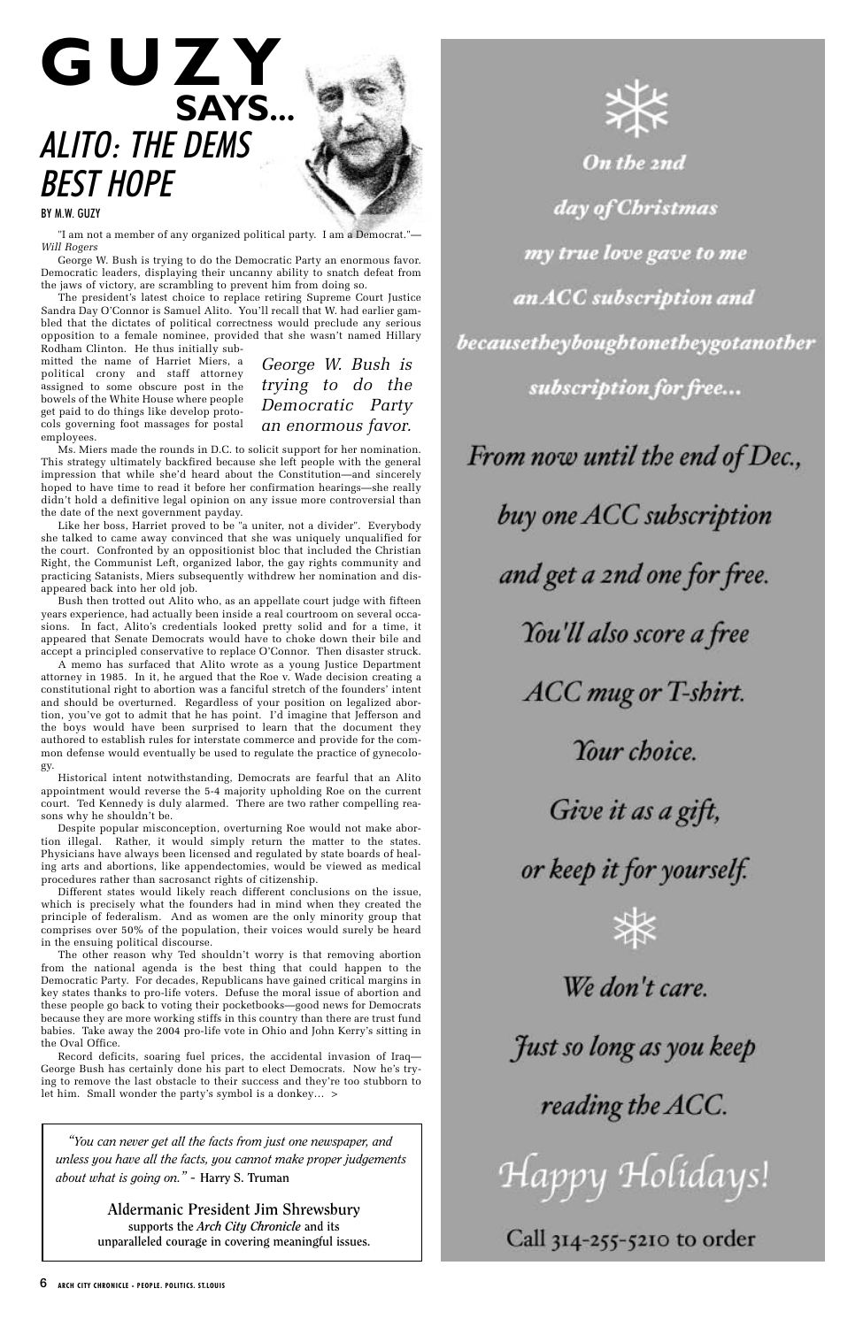#### BY M.W. GUZY

"I am not a member of any organized political party. I am a Democrat."— *Will Rogers*

George W. Bush is trying to do the Democratic Party an enormous favor. Democratic leaders, displaying their uncanny ability to snatch defeat from the jaws of victory, are scrambling to prevent him from doing so.

The president's latest choice to replace retiring Supreme Court Justice Sandra Day O'Connor is Samuel Alito. You'll recall that W. had earlier gambled that the dictates of political correctness would preclude any serious opposition to a female nominee, provided that she wasn't named Hillary Rodham Clinton. He thus initially sub-

mitted the name of Harriet Miers, a political crony and staff attorney assigned to some obscure post in the bowels of the White House where people get paid to do things like develop protocols governing foot massages for postal employees.

Ms. Miers made the rounds in D.C. to solicit support for her nomination. This strategy ultimately backfired because she left people with the general impression that while she'd heard about the Constitution—and sincerely hoped to have time to read it before her confirmation hearings—she really didn't hold a definitive legal opinion on any issue more controversial than the date of the next government payday.

Like her boss, Harriet proved to be "a uniter, not a divider". Everybody she talked to came away convinced that she was uniquely unqualified for the court. Confronted by an oppositionist bloc that included the Christian Right, the Communist Left, organized labor, the gay rights community and practicing Satanists, Miers subsequently withdrew her nomination and disappeared back into her old job.

Bush then trotted out Alito who, as an appellate court judge with fifteen years experience, had actually been inside a real courtroom on several occasions. In fact, Alito's credentials looked pretty solid and for a time, it appeared that Senate Democrats would have to choke down their bile and accept a principled conservative to replace O'Connor. Then disaster struck.

A memo has surfaced that Alito wrote as a young Justice Department attorney in 1985. In it, he argued that the Roe v. Wade decision creating a constitutional right to abortion was a fanciful stretch of the founders' intent and should be overturned. Regardless of your position on legalized abortion, you've got to admit that he has point. I'd imagine that Jefferson and the boys would have been surprised to learn that the document they authored to establish rules for interstate commerce and provide for the common defense would eventually be used to regulate the practice of gynecology.

Historical intent notwithstanding, Democrats are fearful that an Alito appointment would reverse the 5-4 majority upholding Roe on the current court. Ted Kennedy is duly alarmed. There are two rather compelling reasons why he shouldn't be.

Despite popular misconception, overturning Roe would not make abortion illegal. Rather, it would simply return the matter to the states. Physicians have always been licensed and regulated by state boards of healing arts and abortions, like appendectomies, would be viewed as medical procedures rather than sacrosanct rights of citizenship.

Different states would likely reach different conclusions on the issue, which is precisely what the founders had in mind when they created the principle of federalism. And as women are the only minority group that comprises over 50% of the population, their voices would surely be heard in the ensuing political discourse. The other reason why Ted shouldn't worry is that removing abortion from the national agenda is the best thing that could happen to the Democratic Party. For decades, Republicans have gained critical margins in key states thanks to pro-life voters. Defuse the moral issue of abortion and these people go back to voting their pocketbooks—good news for Democrats because they are more working stiffs in this country than there are trust fund babies. Take away the 2004 pro-life vote in Ohio and John Kerry's sitting in the Oval Office.



On the 2nd day of Christmas my true love gave to me an ACC subscription and becausetheyboughtonetheygotanother subscription for free... From now until the end of Dec.,

buy one ACC subscription

and get a 2nd one for free.

You'll also score a free

**ACC** mug or T-shirt.

Your choice.

Give it as a gift,

or keep it for yourself.



Record deficits, soaring fuel prices, the accidental invasion of Iraq— George Bush has certainly done his part to elect Democrats. Now he's trying to remove the last obstacle to their success and they're too stubborn to let him. Small wonder the party's symbol is a donkey… >

# ALITO: THE DEMS BEST HOPE **GUZY SAYS...**

*George W. Bush is trying to do the Democratic Party an enormous favor.*

*"You can never get all the facts from just one newspaper, and unless you have all the facts, you cannot make proper judgements about what is going on." -* **Harry S. Truman**

> **Aldermanic President Jim Shrewsbury supports the** *Arch City Chronicle* **and its unparalleled courage in covering meaningful issues.**

# We don't care.

Just so long as you keep

reading the ACC.

Happy Holidays!

Call 314-255-5210 to order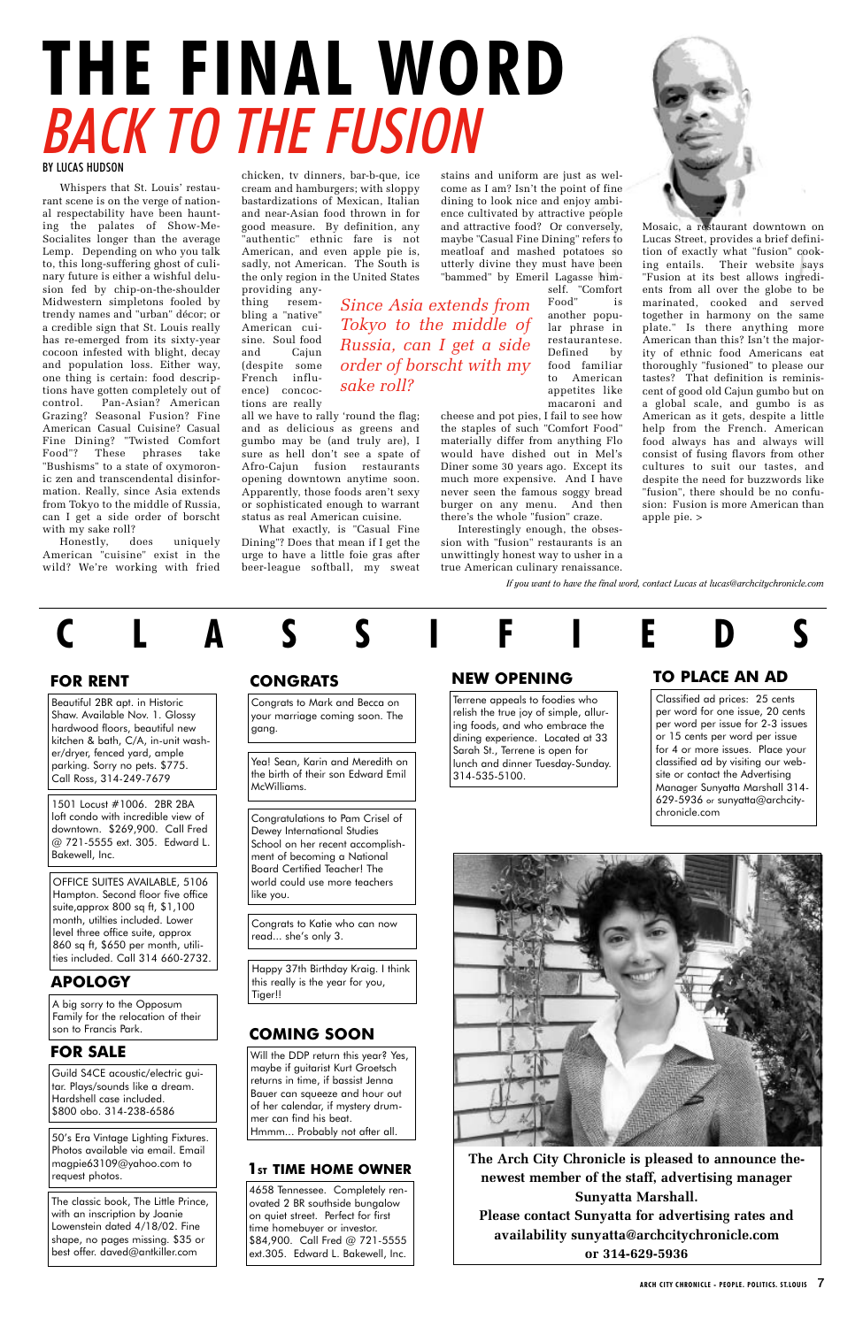Whispers that St. Louis' restaurant scene is on the verge of national respectability have been haunting the palates of Show-Me-Socialites longer than the average Lemp. Depending on who you talk to, this long-suffering ghost of culinary future is either a wishful delusion fed by chip-on-the-shoulder Midwestern simpletons fooled by trendy names and "urban" décor; or a credible sign that St. Louis really has re-emerged from its sixty-year cocoon infested with blight, decay and population loss. Either way, one thing is certain: food descriptions have gotten completely out of control. Pan-Asian? American Grazing? Seasonal Fusion? Fine American Casual Cuisine? Casual Fine Dining? "Twisted Comfort Food"? These phrases take "Bushisms" to a state of oxymoronic zen and transcendental disinformation. Really, since Asia extends from Tokyo to the middle of Russia, can I get a side order of borscht with my sake roll?

# BY LUCAS HUDSON BACK TO THE FUSION **THE FINAL WORD**

Honestly, does uniquely American "cuisine" exist in the wild? We're working with fried

*If you want to have the final word, contact Lucas at lucas@archcitychronicle.com*



Classified ad prices: 25 cents per word for one issue, 20 cents per word per issue for 2-3 issues or 15 cents per word per issue for 4 or more issues. Place your classified ad by visiting our website or contact the Advertising Manager Sunyatta Marshall 314- 629-5936 or sunyatta@archcitychronicle.com





#### **TO PLACE AN AD**

chicken, tv dinners, bar-b-que, ice cream and hamburgers; with sloppy bastardizations of Mexican, Italian and near-Asian food thrown in for good measure. By definition, any "authentic" ethnic fare is not American, and even apple pie is, sadly, not American. The South is the only region in the United States

providing anything resembling a "native" American cuisine. Soul food and Cajun (despite some French influence) concoctions are really

all we have to rally 'round the flag; and as delicious as greens and gumbo may be (and truly are), I sure as hell don't see a spate of Afro-Cajun fusion restaurants opening downtown anytime soon. Apparently, those foods aren't sexy or sophisticated enough to warrant status as real American cuisine.

What exactly, is "Casual Fine Dining"? Does that mean if I get the urge to have a little foie gras after beer-league softball, my sweat

Beautiful 2BR apt. in Historic Shaw. Available Nov. 1. Glossy hardwood floors, beautiful new kitchen & bath, C/A, in-unit washer/dryer, fenced yard, ample parking. Sorry no pets. \$775. Call Ross, 314-249-7679

#### **FOR RENT**

stains and uniform are just as welcome as I am? Isn't the point of fine dining to look nice and enjoy ambience cultivated by attractive people and attractive food? Or conversely, maybe "Casual Fine Dining" refers to meatloaf and mashed potatoes so utterly divine they must have been "bammed" by Emeril Lagasse him-

> self. "Comfort Food" is another popular phrase in restaurantese. Defined by food familiar to American appetites like macaroni and

cheese and pot pies, I fail to see how the staples of such "Comfort Food" materially differ from anything Flo would have dished out in Mel's Diner some 30 years ago. Except its much more expensive. And I have never seen the famous soggy bread burger on any menu. And then there's the whole "fusion" craze.

Interestingly enough, the obsession with "fusion" restaurants is an unwittingly honest way to usher in a true American culinary renaissance.

Mosaic, a restaurant downtown on Lucas Street, provides a brief definition of exactly what "fusion" cooking entails. Their website says "Fusion at its best allows ingredients from all over the globe to be marinated, cooked and served together in harmony on the same plate." Is there anything more American than this? Isn't the majority of ethnic food Americans eat thoroughly "fusioned" to please our tastes? That definition is reminiscent of good old Cajun gumbo but on a global scale, and gumbo is as American as it gets, despite a little help from the French. American food always has and always will consist of fusing flavors from other cultures to suit our tastes, and despite the need for buzzwords like "fusion", there should be no confusion: Fusion is more American than apple pie. >

*Since Asia extends from Tokyo to the middle of Russia, can I get a side*

*order of borscht with my*

*sake roll?* 

Terrene appeals to foodies who relish the true joy of simple, alluring foods, and who embrace the dining experience. Located at 33 Sarah St., Terrene is open for lunch and dinner Tuesday-Sunday. 314-535-5100.

#### **NEW OPENING**

4658 Tennessee. Completely renovated 2 BR southside bungalow on quiet street. Perfect for first time homebuyer or investor. \$84,900. Call Fred @ 721-5555 ext.305. Edward L. Bakewell, Inc.

#### **1ST TIME HOME OWNER**

1501 Locust #1006. 2BR 2BA loft condo with incredible view of downtown. \$269,900. Call Fred @ 721-5555 ext. 305. Edward L. Bakewell, Inc.

> **The Arch City Chronicle is pleased to announce thenewest member of the staff, advertising manager Sunyatta Marshall. Please contact Sunyatta for advertising rates and availability sunyatta@archcitychronicle.com or 314-629-5936**

Guild S4CE acoustic/electric guitar. Plays/sounds like a dream. Hardshell case included. \$800 obo. 314-238-6586

#### **FOR SALE**

OFFICE SUITES AVAILABLE, 5106 Hampton. Second floor five office suite,approx 800 sq ft, \$1,100 month, utilties included. Lower level three office suite, approx 860 sq ft, \$650 per month, utilities included. Call 314 660-2732.

50's Era Vintage Lighting Fixtures. Photos available via email. Email magpie63109@yahoo.com to request photos.

The classic book, The Little Prince, with an inscription by Joanie Lowenstein dated 4/18/02. Fine shape, no pages missing. \$35 or best offer. daved@antkiller.com

Congrats to Mark and Becca on your marriage coming soon. The gang.

#### **CONGRATS**

Yea! Sean, Karin and Meredith on the birth of their son Edward Emil McWilliams.

Will the DDP return this year? Yes, maybe if guitarist Kurt Groetsch returns in time, if bassist Jenna Bauer can squeeze and hour out of her calendar, if mystery drummer can find his beat. Hmmm... Probably not after all.

#### **COMING SOON**

Congratulations to Pam Crisel of Dewey International Studies School on her recent accomplishment of becoming a National Board Certified Teacher! The world could use more teachers like you.

A big sorry to the Opposum Family for the relocation of their son to Francis Park.

#### **APOLOGY**

Congrats to Katie who can now read... she's only 3.

Happy 37th Birthday Kraig. I think this really is the year for you, Tiger!!